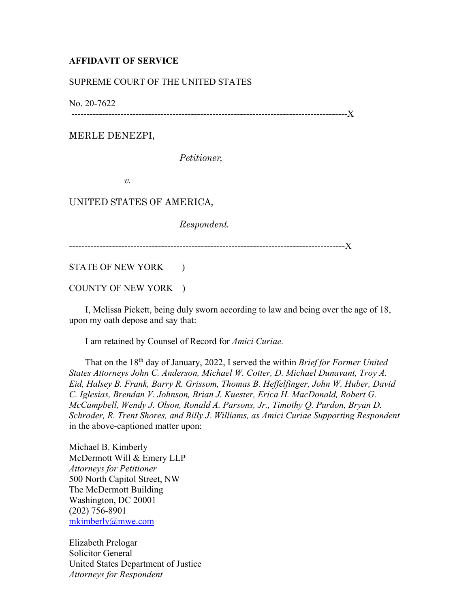## **AFFIDAVIT OF SERVICE**

## SUPREME COURT OF THE UNITED STATES

No. 20-7622

------------------------------------------------------------------------------------------X

MERLE DENEZPI,

*Petitioner,* 

*v.* 

UNITED STATES OF AMERICA,

*Respondent.*

------------------------------------------------------------------------------------------X

STATE OF NEW YORK )

COUNTY OF NEW YORK )

 I, Melissa Pickett, being duly sworn according to law and being over the age of 18, upon my oath depose and say that:

I am retained by Counsel of Record for *Amici Curiae.*

 That on the 18th day of January, 2022, I served the within *Brief for Former United States Attorneys John C. Anderson, Michael W. Cotter, D. Michael Dunavant, Troy A. Eid, Halsey B. Frank, Barry R. Grissom, Thomas B. Heffelfinger, John W. Huber, David C. Iglesias, Brendan V. Johnson, Brian J. Kuester, Erica H. MacDonald, Robert G. McCampbell, Wendy J. Olson, Ronald A. Parsons, Jr., Timothy Q. Purdon, Bryan D. Schroder, R. Trent Shores, and Billy J. Williams, as Amici Curiae Supporting Respondent*  in the above-captioned matter upon:

Michael B. Kimberly McDermott Will & Emery LLP *Attorneys for Petitioner*  500 North Capitol Street, NW The McDermott Building Washington, DC 20001 (202) 756-8901 mkimberly@mwe.com

Elizabeth Prelogar Solicitor General United States Department of Justice *Attorneys for Respondent*